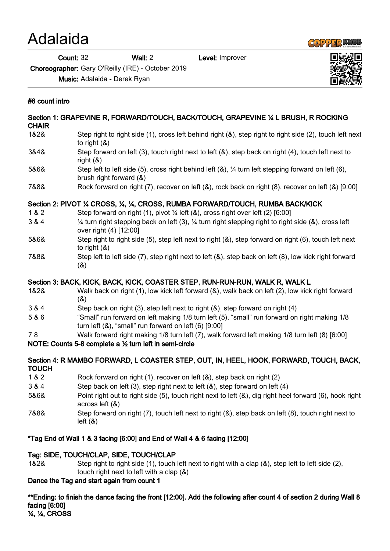## Adalaida

Count: 32 Wall: 2 Level: Improver



Choreographer: Gary O'Reilly (IRE) - October 2019

Music: Adalaida - Derek Ryan

## #8 count intro

| Section 1: GRAPEVINE R, FORWARD/TOUCH, BACK/TOUCH, GRAPEVINE 1/4 L BRUSH, R ROCKING<br><b>CHAIR</b> |                                                                                                                                                             |
|-----------------------------------------------------------------------------------------------------|-------------------------------------------------------------------------------------------------------------------------------------------------------------|
| 1&2&                                                                                                | Step right to right side (1), cross left behind right (&), step right to right side (2), touch left next<br>to right $(8)$                                  |
| 3&4&                                                                                                | Step forward on left (3), touch right next to left (&), step back on right (4), touch left next to<br>right $(8)$                                           |
| 5&6&                                                                                                | Step left to left side (5), cross right behind left (&), 1/4 turn left stepping forward on left (6),<br>brush right forward (&)                             |
| 7&8&                                                                                                | Rock forward on right (7), recover on left (&), rock back on right (8), recover on left (&) [9:00]                                                          |
| Section 2: PIVOT 1/4 CROSS, 1/4, 1/4, CROSS, RUMBA FORWARD/TOUCH, RUMBA BACK/KICK                   |                                                                                                                                                             |
| 182                                                                                                 | Step forward on right (1), pivot 1/4 left (&), cross right over left (2) [6:00]                                                                             |
| 3 & 4                                                                                               | 1/4 turn right stepping back on left (3), 1/4 turn right stepping right to right side (&), cross left<br>over right (4) [12:00]                             |
| 5&6&                                                                                                | Step right to right side (5), step left next to right (&), step forward on right (6), touch left next<br>to right $(8)$                                     |
| 7&8&                                                                                                | Step left to left side (7), step right next to left (&), step back on left (8), low kick right forward<br>(8)                                               |
| Section 3: BACK, KICK, BACK, KICK, COASTER STEP, RUN-RUN-RUN, WALK R, WALK L                        |                                                                                                                                                             |
| 1&2&                                                                                                | Walk back on right (1), low kick left forward (&), walk back on left (2), low kick right forward<br>(8)                                                     |
| 3 & 4                                                                                               | Step back on right (3), step left next to right (&), step forward on right (4)                                                                              |
| 5 & 6                                                                                               | "Small" run forward on left making 1/8 turn left (5), "small" run forward on right making 1/8<br>turn left $(8)$ , "small" run forward on left $(6)$ [9:00] |
| 78                                                                                                  | Walk forward right making 1/8 turn left (7), walk forward left making 1/8 turn left (8) [6:00]                                                              |
| NOTE: Counts 5-8 complete a 1/2 turn left in semi-circle                                            |                                                                                                                                                             |
| <b>TOUCH</b>                                                                                        | Section 4: R MAMBO FORWARD, L COASTER STEP, OUT, IN, HEEL, HOOK, FORWARD, TOUCH, BACK,                                                                      |
| 1 & 2                                                                                               | Rock forward on right (1), recover on left (&), step back on right (2)                                                                                      |
| 3 & 4                                                                                               | Step back on left (3), step right next to left (&), step forward on left (4)                                                                                |
| 5&6&                                                                                                | Point right out to right side (5), touch right next to left (&), dig right heel forward (6), hook right<br>across left (&)                                  |
| 7&8&                                                                                                | Step forward on right (7), touch left next to right (&), step back on left (8), touch right next to<br>left( 8)                                             |
| *Tag End of Wall 1 & 3 facing [6:00] and End of Wall 4 & 6 facing [12:00]                           |                                                                                                                                                             |

## Tag: SIDE, TOUCH/CLAP, SIDE, TOUCH/CLAP

1&2& Step right to right side (1), touch left next to right with a clap (&), step left to left side (2), touch right next to left with a clap (&)

## Dance the Tag and start again from count 1

\*\*Ending: to finish the dance facing the front [12:00]. Add the following after count 4 of section 2 during Wall 8 facing [6:00] ¼, ¼, CROSS